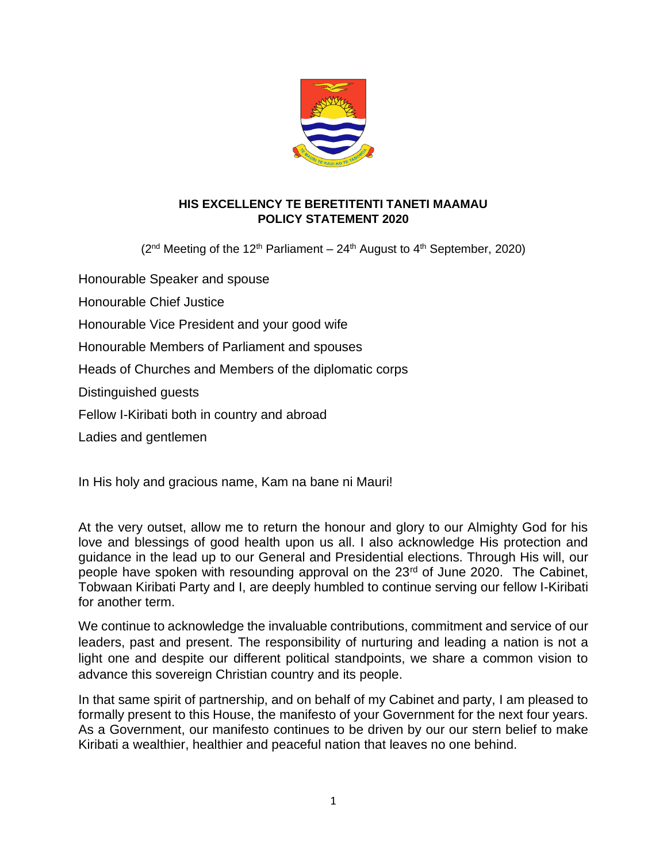

#### **HIS EXCELLENCY TE BERETITENTI TANETI MAAMAU POLICY STATEMENT 2020**

 $(2^{nd}$  Meeting of the 12<sup>th</sup> Parliament – 24<sup>th</sup> August to 4<sup>th</sup> September, 2020)

Honourable Speaker and spouse Honourable Chief Justice Honourable Vice President and your good wife Honourable Members of Parliament and spouses Heads of Churches and Members of the diplomatic corps Distinguished guests Fellow I-Kiribati both in country and abroad Ladies and gentlemen

In His holy and gracious name, Kam na bane ni Mauri!

At the very outset, allow me to return the honour and glory to our Almighty God for his love and blessings of good health upon us all. I also acknowledge His protection and guidance in the lead up to our General and Presidential elections. Through His will, our people have spoken with resounding approval on the 23<sup>rd</sup> of June 2020. The Cabinet, Tobwaan Kiribati Party and I, are deeply humbled to continue serving our fellow I-Kiribati for another term.

We continue to acknowledge the invaluable contributions, commitment and service of our leaders, past and present. The responsibility of nurturing and leading a nation is not a light one and despite our different political standpoints, we share a common vision to advance this sovereign Christian country and its people.

In that same spirit of partnership, and on behalf of my Cabinet and party, I am pleased to formally present to this House, the manifesto of your Government for the next four years. As a Government, our manifesto continues to be driven by our our stern belief to make Kiribati a wealthier, healthier and peaceful nation that leaves no one behind.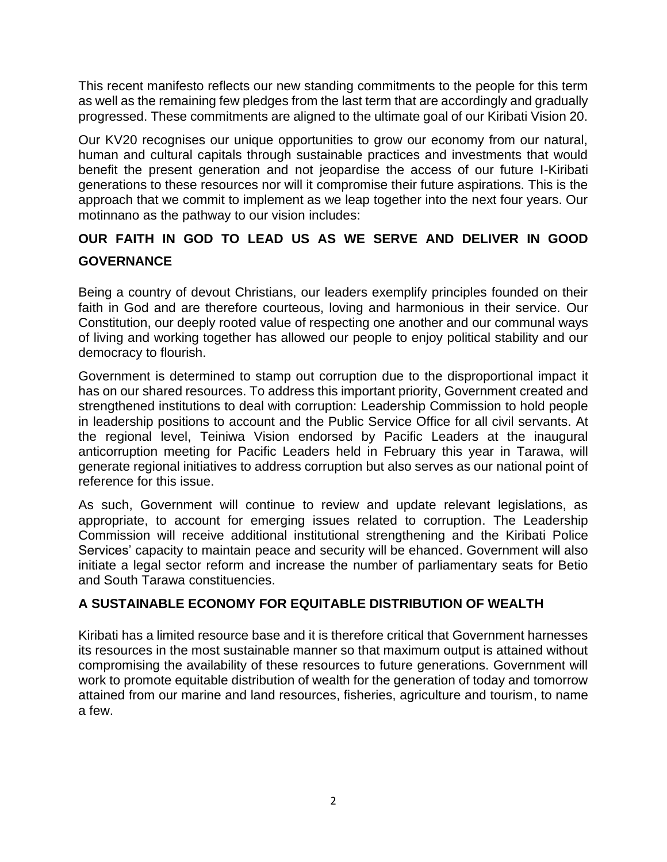This recent manifesto reflects our new standing commitments to the people for this term as well as the remaining few pledges from the last term that are accordingly and gradually progressed. These commitments are aligned to the ultimate goal of our Kiribati Vision 20.

Our KV20 recognises our unique opportunities to grow our economy from our natural, human and cultural capitals through sustainable practices and investments that would benefit the present generation and not jeopardise the access of our future I-Kiribati generations to these resources nor will it compromise their future aspirations. This is the approach that we commit to implement as we leap together into the next four years. Our motinnano as the pathway to our vision includes:

## **OUR FAITH IN GOD TO LEAD US AS WE SERVE AND DELIVER IN GOOD GOVERNANCE**

Being a country of devout Christians, our leaders exemplify principles founded on their faith in God and are therefore courteous, loving and harmonious in their service. Our Constitution, our deeply rooted value of respecting one another and our communal ways of living and working together has allowed our people to enjoy political stability and our democracy to flourish.

Government is determined to stamp out corruption due to the disproportional impact it has on our shared resources. To address this important priority, Government created and strengthened institutions to deal with corruption: Leadership Commission to hold people in leadership positions to account and the Public Service Office for all civil servants. At the regional level, Teiniwa Vision endorsed by Pacific Leaders at the inaugural anticorruption meeting for Pacific Leaders held in February this year in Tarawa, will generate regional initiatives to address corruption but also serves as our national point of reference for this issue.

As such, Government will continue to review and update relevant legislations, as appropriate, to account for emerging issues related to corruption. The Leadership Commission will receive additional institutional strengthening and the Kiribati Police Services' capacity to maintain peace and security will be ehanced. Government will also initiate a legal sector reform and increase the number of parliamentary seats for Betio and South Tarawa constituencies.

## **A SUSTAINABLE ECONOMY FOR EQUITABLE DISTRIBUTION OF WEALTH**

Kiribati has a limited resource base and it is therefore critical that Government harnesses its resources in the most sustainable manner so that maximum output is attained without compromising the availability of these resources to future generations. Government will work to promote equitable distribution of wealth for the generation of today and tomorrow attained from our marine and land resources, fisheries, agriculture and tourism, to name a few.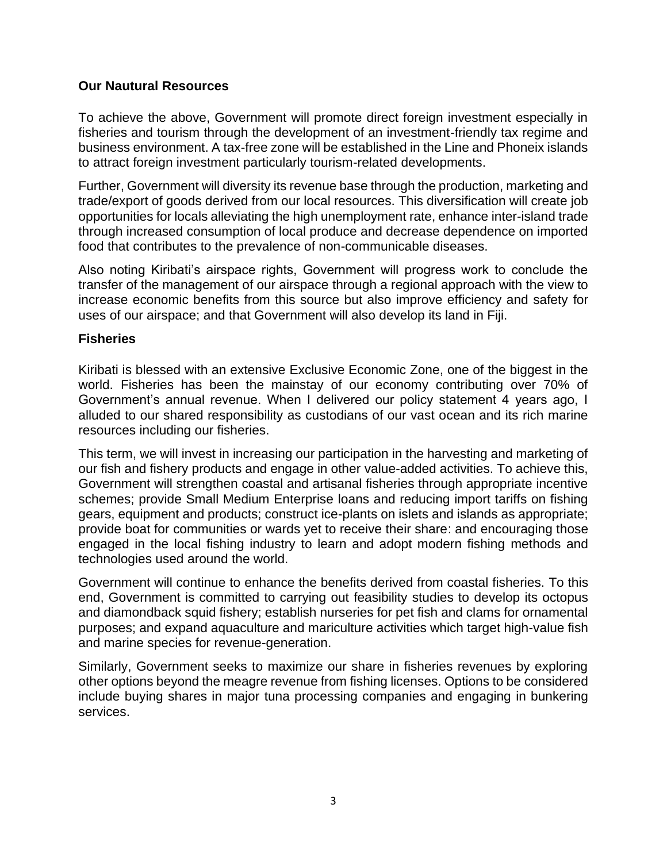## **Our Nautural Resources**

To achieve the above, Government will promote direct foreign investment especially in fisheries and tourism through the development of an investment-friendly tax regime and business environment. A tax-free zone will be established in the Line and Phoneix islands to attract foreign investment particularly tourism-related developments.

Further, Government will diversity its revenue base through the production, marketing and trade/export of goods derived from our local resources. This diversification will create job opportunities for locals alleviating the high unemployment rate, enhance inter-island trade through increased consumption of local produce and decrease dependence on imported food that contributes to the prevalence of non-communicable diseases.

Also noting Kiribati's airspace rights, Government will progress work to conclude the transfer of the management of our airspace through a regional approach with the view to increase economic benefits from this source but also improve efficiency and safety for uses of our airspace; and that Government will also develop its land in Fiji.

#### **Fisheries**

Kiribati is blessed with an extensive Exclusive Economic Zone, one of the biggest in the world. Fisheries has been the mainstay of our economy contributing over 70% of Government's annual revenue. When I delivered our policy statement 4 years ago, I alluded to our shared responsibility as custodians of our vast ocean and its rich marine resources including our fisheries.

This term, we will invest in increasing our participation in the harvesting and marketing of our fish and fishery products and engage in other value-added activities. To achieve this, Government will strengthen coastal and artisanal fisheries through appropriate incentive schemes; provide Small Medium Enterprise loans and reducing import tariffs on fishing gears, equipment and products; construct ice-plants on islets and islands as appropriate; provide boat for communities or wards yet to receive their share: and encouraging those engaged in the local fishing industry to learn and adopt modern fishing methods and technologies used around the world.

Government will continue to enhance the benefits derived from coastal fisheries. To this end, Government is committed to carrying out feasibility studies to develop its octopus and diamondback squid fishery; establish nurseries for pet fish and clams for ornamental purposes; and expand aquaculture and mariculture activities which target high-value fish and marine species for revenue-generation.

Similarly, Government seeks to maximize our share in fisheries revenues by exploring other options beyond the meagre revenue from fishing licenses. Options to be considered include buying shares in major tuna processing companies and engaging in bunkering services.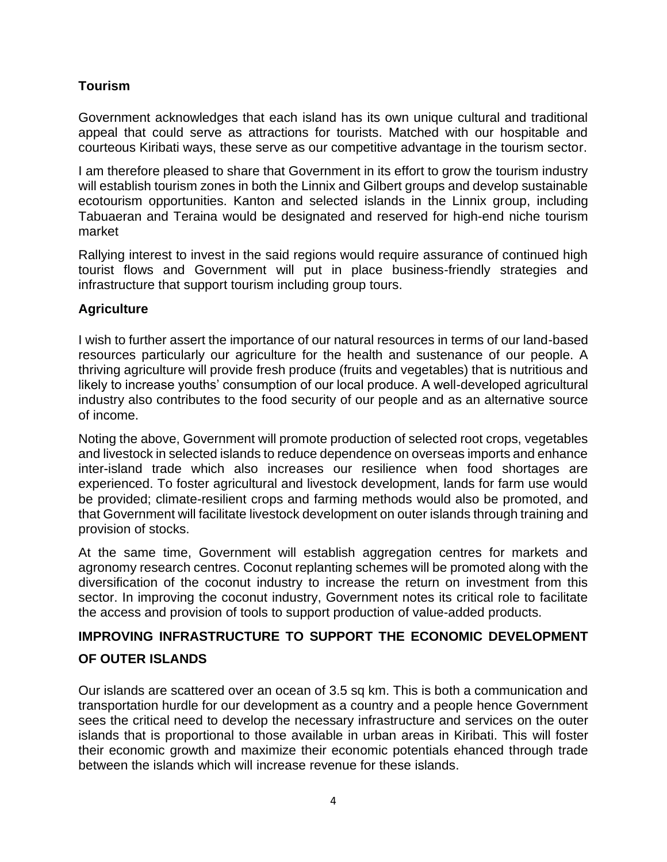## **Tourism**

Government acknowledges that each island has its own unique cultural and traditional appeal that could serve as attractions for tourists. Matched with our hospitable and courteous Kiribati ways, these serve as our competitive advantage in the tourism sector.

I am therefore pleased to share that Government in its effort to grow the tourism industry will establish tourism zones in both the Linnix and Gilbert groups and develop sustainable ecotourism opportunities. Kanton and selected islands in the Linnix group, including Tabuaeran and Teraina would be designated and reserved for high-end niche tourism market

Rallying interest to invest in the said regions would require assurance of continued high tourist flows and Government will put in place business-friendly strategies and infrastructure that support tourism including group tours.

## **Agriculture**

I wish to further assert the importance of our natural resources in terms of our land-based resources particularly our agriculture for the health and sustenance of our people. A thriving agriculture will provide fresh produce (fruits and vegetables) that is nutritious and likely to increase youths' consumption of our local produce. A well-developed agricultural industry also contributes to the food security of our people and as an alternative source of income.

Noting the above, Government will promote production of selected root crops, vegetables and livestock in selected islands to reduce dependence on overseas imports and enhance inter-island trade which also increases our resilience when food shortages are experienced. To foster agricultural and livestock development, lands for farm use would be provided; climate-resilient crops and farming methods would also be promoted, and that Government will facilitate livestock development on outer islands through training and provision of stocks.

At the same time, Government will establish aggregation centres for markets and agronomy research centres. Coconut replanting schemes will be promoted along with the diversification of the coconut industry to increase the return on investment from this sector. In improving the coconut industry, Government notes its critical role to facilitate the access and provision of tools to support production of value-added products.

# **IMPROVING INFRASTRUCTURE TO SUPPORT THE ECONOMIC DEVELOPMENT**

## **OF OUTER ISLANDS**

Our islands are scattered over an ocean of 3.5 sq km. This is both a communication and transportation hurdle for our development as a country and a people hence Government sees the critical need to develop the necessary infrastructure and services on the outer islands that is proportional to those available in urban areas in Kiribati. This will foster their economic growth and maximize their economic potentials ehanced through trade between the islands which will increase revenue for these islands.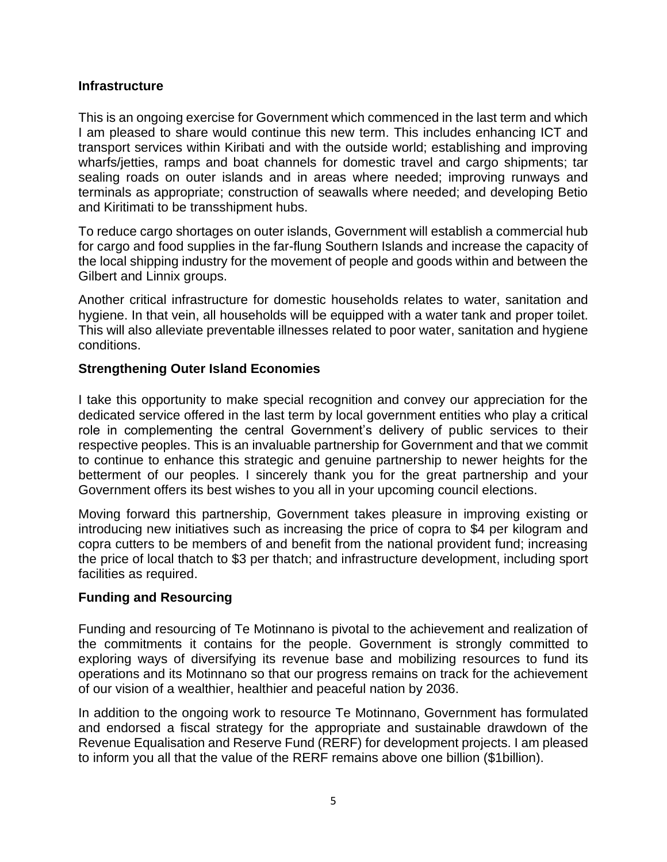#### **Infrastructure**

This is an ongoing exercise for Government which commenced in the last term and which I am pleased to share would continue this new term. This includes enhancing ICT and transport services within Kiribati and with the outside world; establishing and improving wharfs/jetties, ramps and boat channels for domestic travel and cargo shipments; tar sealing roads on outer islands and in areas where needed; improving runways and terminals as appropriate; construction of seawalls where needed; and developing Betio and Kiritimati to be transshipment hubs.

To reduce cargo shortages on outer islands, Government will establish a commercial hub for cargo and food supplies in the far-flung Southern Islands and increase the capacity of the local shipping industry for the movement of people and goods within and between the Gilbert and Linnix groups.

Another critical infrastructure for domestic households relates to water, sanitation and hygiene. In that vein, all households will be equipped with a water tank and proper toilet. This will also alleviate preventable illnesses related to poor water, sanitation and hygiene conditions.

## **Strengthening Outer Island Economies**

I take this opportunity to make special recognition and convey our appreciation for the dedicated service offered in the last term by local government entities who play a critical role in complementing the central Government's delivery of public services to their respective peoples. This is an invaluable partnership for Government and that we commit to continue to enhance this strategic and genuine partnership to newer heights for the betterment of our peoples. I sincerely thank you for the great partnership and your Government offers its best wishes to you all in your upcoming council elections.

Moving forward this partnership, Government takes pleasure in improving existing or introducing new initiatives such as increasing the price of copra to \$4 per kilogram and copra cutters to be members of and benefit from the national provident fund; increasing the price of local thatch to \$3 per thatch; and infrastructure development, including sport facilities as required.

#### **Funding and Resourcing**

Funding and resourcing of Te Motinnano is pivotal to the achievement and realization of the commitments it contains for the people. Government is strongly committed to exploring ways of diversifying its revenue base and mobilizing resources to fund its operations and its Motinnano so that our progress remains on track for the achievement of our vision of a wealthier, healthier and peaceful nation by 2036.

In addition to the ongoing work to resource Te Motinnano, Government has formulated and endorsed a fiscal strategy for the appropriate and sustainable drawdown of the Revenue Equalisation and Reserve Fund (RERF) for development projects. I am pleased to inform you all that the value of the RERF remains above one billion (\$1billion).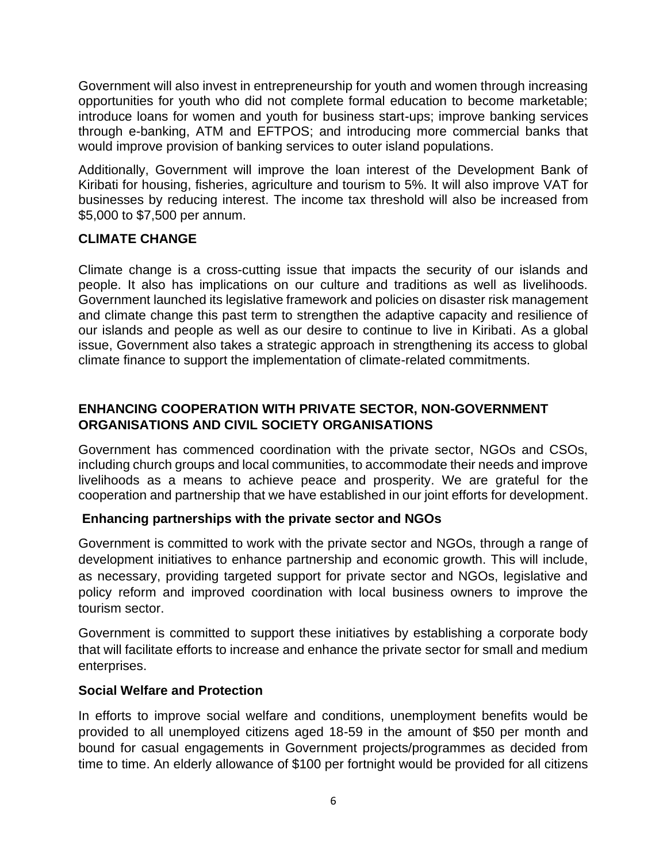Government will also invest in entrepreneurship for youth and women through increasing opportunities for youth who did not complete formal education to become marketable; introduce loans for women and youth for business start-ups; improve banking services through e-banking, ATM and EFTPOS; and introducing more commercial banks that would improve provision of banking services to outer island populations.

Additionally, Government will improve the loan interest of the Development Bank of Kiribati for housing, fisheries, agriculture and tourism to 5%. It will also improve VAT for businesses by reducing interest. The income tax threshold will also be increased from \$5,000 to \$7,500 per annum.

## **CLIMATE CHANGE**

Climate change is a cross-cutting issue that impacts the security of our islands and people. It also has implications on our culture and traditions as well as livelihoods. Government launched its legislative framework and policies on disaster risk management and climate change this past term to strengthen the adaptive capacity and resilience of our islands and people as well as our desire to continue to live in Kiribati. As a global issue, Government also takes a strategic approach in strengthening its access to global climate finance to support the implementation of climate-related commitments.

## **ENHANCING COOPERATION WITH PRIVATE SECTOR, NON-GOVERNMENT ORGANISATIONS AND CIVIL SOCIETY ORGANISATIONS**

Government has commenced coordination with the private sector, NGOs and CSOs, including church groups and local communities, to accommodate their needs and improve livelihoods as a means to achieve peace and prosperity. We are grateful for the cooperation and partnership that we have established in our joint efforts for development.

## **Enhancing partnerships with the private sector and NGOs**

Government is committed to work with the private sector and NGOs, through a range of development initiatives to enhance partnership and economic growth. This will include, as necessary, providing targeted support for private sector and NGOs, legislative and policy reform and improved coordination with local business owners to improve the tourism sector.

Government is committed to support these initiatives by establishing a corporate body that will facilitate efforts to increase and enhance the private sector for small and medium enterprises.

#### **Social Welfare and Protection**

In efforts to improve social welfare and conditions, unemployment benefits would be provided to all unemployed citizens aged 18-59 in the amount of \$50 per month and bound for casual engagements in Government projects/programmes as decided from time to time. An elderly allowance of \$100 per fortnight would be provided for all citizens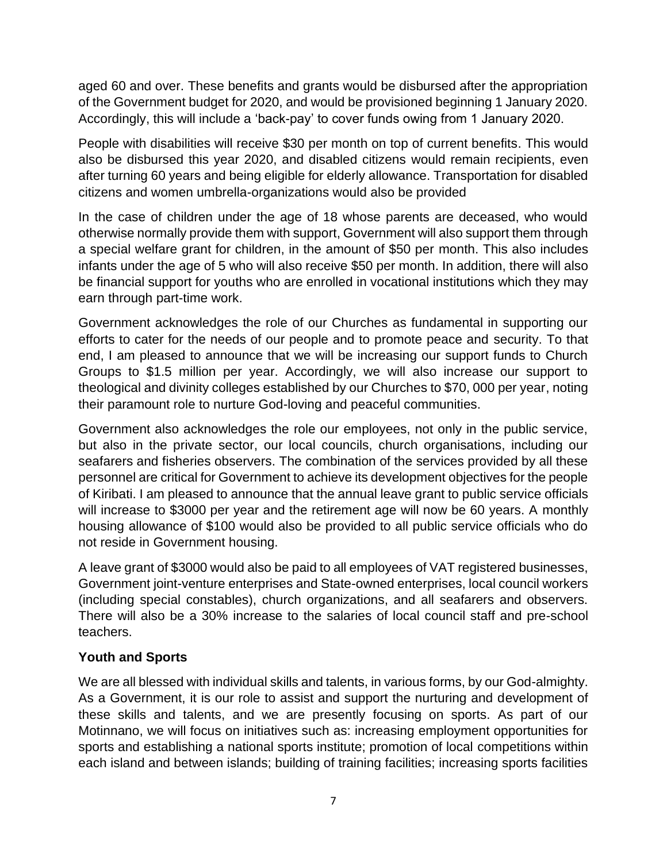aged 60 and over. These benefits and grants would be disbursed after the appropriation of the Government budget for 2020, and would be provisioned beginning 1 January 2020. Accordingly, this will include a 'back-pay' to cover funds owing from 1 January 2020.

People with disabilities will receive \$30 per month on top of current benefits. This would also be disbursed this year 2020, and disabled citizens would remain recipients, even after turning 60 years and being eligible for elderly allowance. Transportation for disabled citizens and women umbrella-organizations would also be provided

In the case of children under the age of 18 whose parents are deceased, who would otherwise normally provide them with support, Government will also support them through a special welfare grant for children, in the amount of \$50 per month. This also includes infants under the age of 5 who will also receive \$50 per month. In addition, there will also be financial support for youths who are enrolled in vocational institutions which they may earn through part-time work.

Government acknowledges the role of our Churches as fundamental in supporting our efforts to cater for the needs of our people and to promote peace and security. To that end, I am pleased to announce that we will be increasing our support funds to Church Groups to \$1.5 million per year. Accordingly, we will also increase our support to theological and divinity colleges established by our Churches to \$70, 000 per year, noting their paramount role to nurture God-loving and peaceful communities.

Government also acknowledges the role our employees, not only in the public service, but also in the private sector, our local councils, church organisations, including our seafarers and fisheries observers. The combination of the services provided by all these personnel are critical for Government to achieve its development objectives for the people of Kiribati. I am pleased to announce that the annual leave grant to public service officials will increase to \$3000 per year and the retirement age will now be 60 years. A monthly housing allowance of \$100 would also be provided to all public service officials who do not reside in Government housing.

A leave grant of \$3000 would also be paid to all employees of VAT registered businesses, Government joint-venture enterprises and State-owned enterprises, local council workers (including special constables), church organizations, and all seafarers and observers. There will also be a 30% increase to the salaries of local council staff and pre-school teachers.

## **Youth and Sports**

We are all blessed with individual skills and talents, in various forms, by our God-almighty. As a Government, it is our role to assist and support the nurturing and development of these skills and talents, and we are presently focusing on sports. As part of our Motinnano, we will focus on initiatives such as: increasing employment opportunities for sports and establishing a national sports institute; promotion of local competitions within each island and between islands; building of training facilities; increasing sports facilities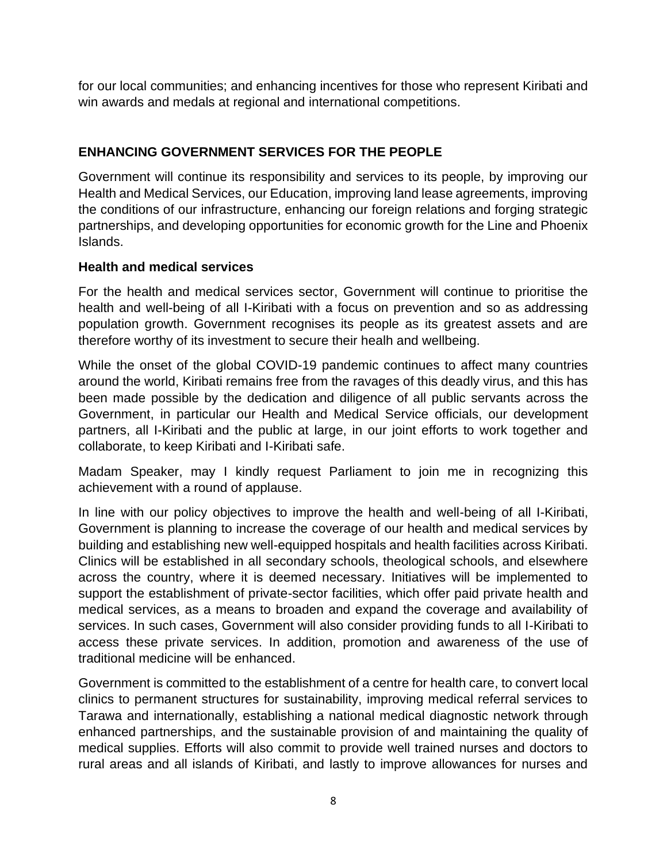for our local communities; and enhancing incentives for those who represent Kiribati and win awards and medals at regional and international competitions.

## **ENHANCING GOVERNMENT SERVICES FOR THE PEOPLE**

Government will continue its responsibility and services to its people, by improving our Health and Medical Services, our Education, improving land lease agreements, improving the conditions of our infrastructure, enhancing our foreign relations and forging strategic partnerships, and developing opportunities for economic growth for the Line and Phoenix Islands.

## **Health and medical services**

For the health and medical services sector, Government will continue to prioritise the health and well-being of all I-Kiribati with a focus on prevention and so as addressing population growth. Government recognises its people as its greatest assets and are therefore worthy of its investment to secure their healh and wellbeing.

While the onset of the global COVID-19 pandemic continues to affect many countries around the world, Kiribati remains free from the ravages of this deadly virus, and this has been made possible by the dedication and diligence of all public servants across the Government, in particular our Health and Medical Service officials, our development partners, all I-Kiribati and the public at large, in our joint efforts to work together and collaborate, to keep Kiribati and I-Kiribati safe.

Madam Speaker, may I kindly request Parliament to join me in recognizing this achievement with a round of applause.

In line with our policy objectives to improve the health and well-being of all I-Kiribati, Government is planning to increase the coverage of our health and medical services by building and establishing new well-equipped hospitals and health facilities across Kiribati. Clinics will be established in all secondary schools, theological schools, and elsewhere across the country, where it is deemed necessary. Initiatives will be implemented to support the establishment of private-sector facilities, which offer paid private health and medical services, as a means to broaden and expand the coverage and availability of services. In such cases, Government will also consider providing funds to all I-Kiribati to access these private services. In addition, promotion and awareness of the use of traditional medicine will be enhanced.

Government is committed to the establishment of a centre for health care, to convert local clinics to permanent structures for sustainability, improving medical referral services to Tarawa and internationally, establishing a national medical diagnostic network through enhanced partnerships, and the sustainable provision of and maintaining the quality of medical supplies. Efforts will also commit to provide well trained nurses and doctors to rural areas and all islands of Kiribati, and lastly to improve allowances for nurses and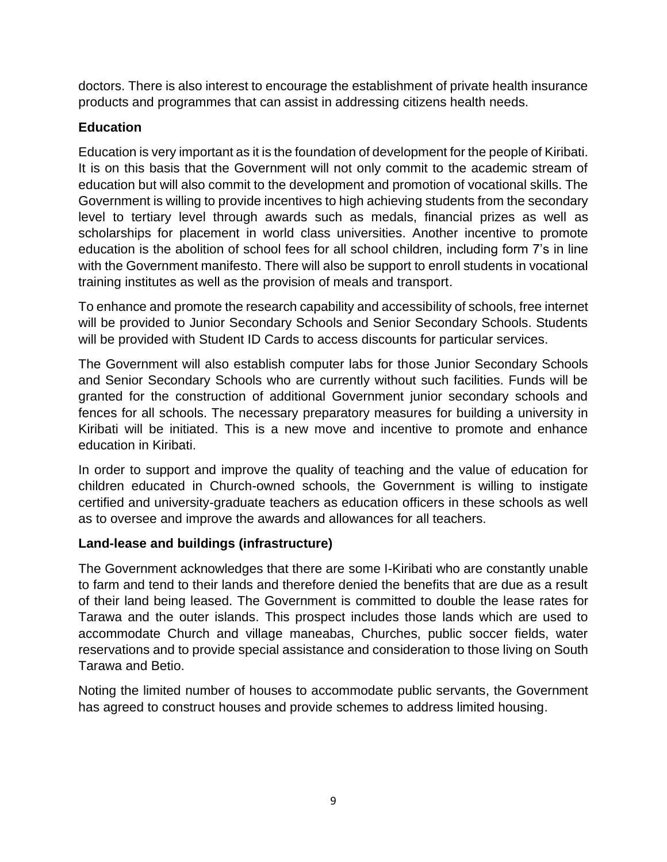doctors. There is also interest to encourage the establishment of private health insurance products and programmes that can assist in addressing citizens health needs.

## **Education**

Education is very important as it is the foundation of development for the people of Kiribati. It is on this basis that the Government will not only commit to the academic stream of education but will also commit to the development and promotion of vocational skills. The Government is willing to provide incentives to high achieving students from the secondary level to tertiary level through awards such as medals, financial prizes as well as scholarships for placement in world class universities. Another incentive to promote education is the abolition of school fees for all school children, including form 7's in line with the Government manifesto. There will also be support to enroll students in vocational training institutes as well as the provision of meals and transport.

To enhance and promote the research capability and accessibility of schools, free internet will be provided to Junior Secondary Schools and Senior Secondary Schools. Students will be provided with Student ID Cards to access discounts for particular services.

The Government will also establish computer labs for those Junior Secondary Schools and Senior Secondary Schools who are currently without such facilities. Funds will be granted for the construction of additional Government junior secondary schools and fences for all schools. The necessary preparatory measures for building a university in Kiribati will be initiated. This is a new move and incentive to promote and enhance education in Kiribati.

In order to support and improve the quality of teaching and the value of education for children educated in Church-owned schools, the Government is willing to instigate certified and university-graduate teachers as education officers in these schools as well as to oversee and improve the awards and allowances for all teachers.

## **Land-lease and buildings (infrastructure)**

The Government acknowledges that there are some I-Kiribati who are constantly unable to farm and tend to their lands and therefore denied the benefits that are due as a result of their land being leased. The Government is committed to double the lease rates for Tarawa and the outer islands. This prospect includes those lands which are used to accommodate Church and village maneabas, Churches, public soccer fields, water reservations and to provide special assistance and consideration to those living on South Tarawa and Betio.

Noting the limited number of houses to accommodate public servants, the Government has agreed to construct houses and provide schemes to address limited housing.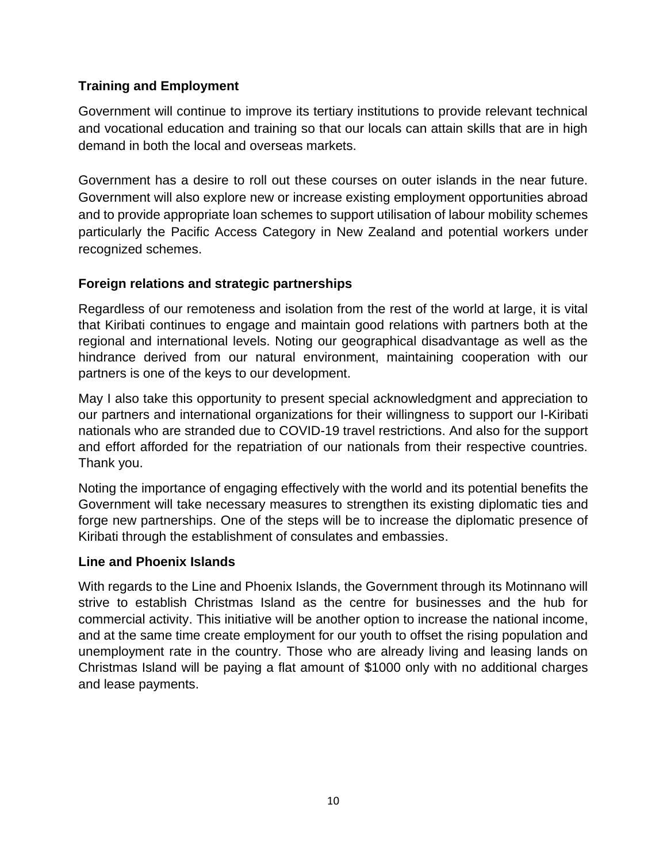## **Training and Employment**

Government will continue to improve its tertiary institutions to provide relevant technical and vocational education and training so that our locals can attain skills that are in high demand in both the local and overseas markets.

Government has a desire to roll out these courses on outer islands in the near future. Government will also explore new or increase existing employment opportunities abroad and to provide appropriate loan schemes to support utilisation of labour mobility schemes particularly the Pacific Access Category in New Zealand and potential workers under recognized schemes.

## **Foreign relations and strategic partnerships**

Regardless of our remoteness and isolation from the rest of the world at large, it is vital that Kiribati continues to engage and maintain good relations with partners both at the regional and international levels. Noting our geographical disadvantage as well as the hindrance derived from our natural environment, maintaining cooperation with our partners is one of the keys to our development.

May I also take this opportunity to present special acknowledgment and appreciation to our partners and international organizations for their willingness to support our I-Kiribati nationals who are stranded due to COVID-19 travel restrictions. And also for the support and effort afforded for the repatriation of our nationals from their respective countries. Thank you.

Noting the importance of engaging effectively with the world and its potential benefits the Government will take necessary measures to strengthen its existing diplomatic ties and forge new partnerships. One of the steps will be to increase the diplomatic presence of Kiribati through the establishment of consulates and embassies.

## **Line and Phoenix Islands**

With regards to the Line and Phoenix Islands, the Government through its Motinnano will strive to establish Christmas Island as the centre for businesses and the hub for commercial activity. This initiative will be another option to increase the national income, and at the same time create employment for our youth to offset the rising population and unemployment rate in the country. Those who are already living and leasing lands on Christmas Island will be paying a flat amount of \$1000 only with no additional charges and lease payments.